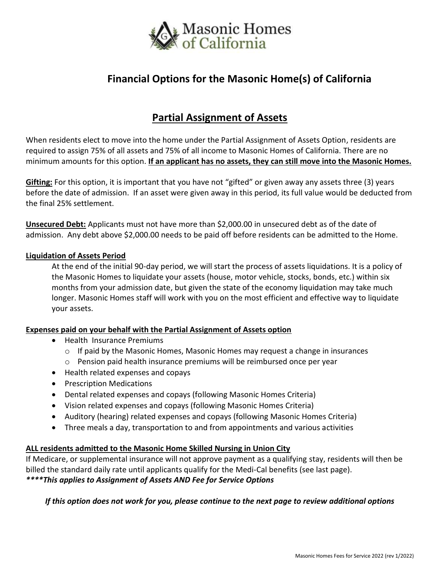

# **Financial Options for the Masonic Home(s) of California**

# **Partial Assignment of Assets**

When residents elect to move into the home under the Partial Assignment of Assets Option, residents are required to assign 75% of all assets and 75% of all income to Masonic Homes of California. There are no minimum amounts for this option. **If an applicant has no assets, they can still move into the Masonic Homes.**

**Gifting:** For this option, it is important that you have not "gifted" or given away any assets three (3) years before the date of admission. If an asset were given away in this period, its full value would be deducted from the final 25% settlement.

**Unsecured Debt:** Applicants must not have more than \$2,000.00 in unsecured debt as of the date of admission. Any debt above \$2,000.00 needs to be paid off before residents can be admitted to the Home.

#### **Liquidation of Assets Period**

At the end of the initial 90-day period, we will start the process of assets liquidations. It is a policy of the Masonic Homes to liquidate your assets (house, motor vehicle, stocks, bonds, etc.) within six months from your admission date, but given the state of the economy liquidation may take much longer. Masonic Homes staff will work with you on the most efficient and effective way to liquidate your assets.

### **Expenses paid on your behalf with the Partial Assignment of Assets option**

- Health Insurance Premiums
	- o If paid by the Masonic Homes, Masonic Homes may request a change in insurances
	- $\circ$  Pension paid health insurance premiums will be reimbursed once per year
- Health related expenses and copays
- Prescription Medications
- Dental related expenses and copays (following Masonic Homes Criteria)
- Vision related expenses and copays (following Masonic Homes Criteria)
- Auditory (hearing) related expenses and copays (following Masonic Homes Criteria)
- Three meals a day, transportation to and from appointments and various activities

### **ALL residents admitted to the Masonic Home Skilled Nursing in Union City**

If Medicare, or supplemental insurance will not approve payment as a qualifying stay, residents will then be billed the standard daily rate until applicants qualify for the Medi-Cal benefits (see last page). *\*\*\*\*This applies to Assignment of Assets AND Fee for Service Options*

*If this option does not work for you, please continue to the next page to review additional options*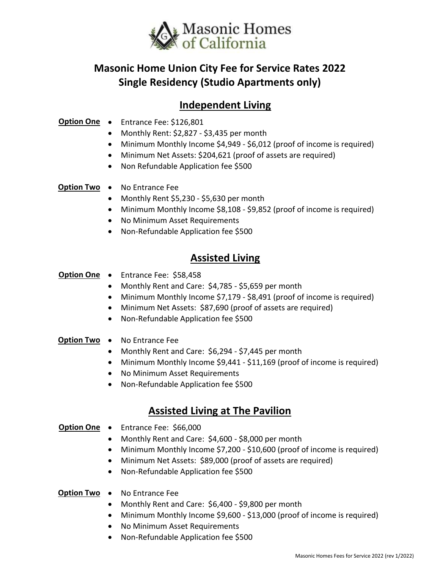

# **Masonic Home Union City Fee for Service Rates 2022 Single Residency (Studio Apartments only)**

# **Independent Living**

### **Option One** • Entrance Fee: \$126,801

- Monthly Rent: \$2,827 \$3,435 per month
- Minimum Monthly Income \$4,949 \$6,012 (proof of income is required)
- Minimum Net Assets: \$204,621 (proof of assets are required)
- Non Refundable Application fee \$500

### **Option Two** • No Entrance Fee

- Monthly Rent \$5,230 \$5,630 per month
- Minimum Monthly Income \$8,108 \$9,852 (proof of income is required)
- No Minimum Asset Requirements
- Non-Refundable Application fee \$500

# **Assisted Living**

### **Option One** • Entrance Fee: \$58,458

- Monthly Rent and Care: \$4,785 \$5,659 per month
- Minimum Monthly Income \$7,179 \$8,491 (proof of income is required)
- Minimum Net Assets: \$87,690 (proof of assets are required)
- Non-Refundable Application fee \$500

### **Option Two** • No Entrance Fee

- Monthly Rent and Care: \$6,294 \$7,445 per month
- Minimum Monthly Income \$9,441 \$11,169 (proof of income is required)
- No Minimum Asset Requirements
- Non-Refundable Application fee \$500

## **Assisted Living at The Pavilion**

### **Option One** • Entrance Fee: \$66,000

- Monthly Rent and Care: \$4,600 \$8,000 per month
- Minimum Monthly Income \$7,200 \$10,600 (proof of income is required)
- Minimum Net Assets: \$89,000 (proof of assets are required)
- Non-Refundable Application fee \$500

### **Option Two** • No Entrance Fee

- Monthly Rent and Care: \$6,400 \$9,800 per month
- Minimum Monthly Income \$9,600 \$13,000 (proof of income is required)
- No Minimum Asset Requirements
- Non-Refundable Application fee \$500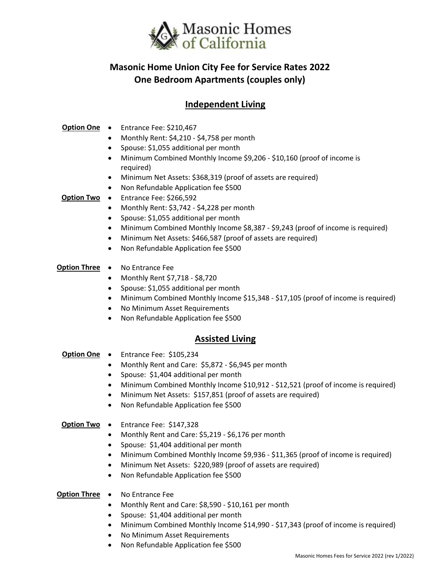

# **Masonic Home Union City Fee for Service Rates 2022 One Bedroom Apartments (couples only)**

## **Independent Living**

### **Option One** • Entrance Fee: \$210,467

- Monthly Rent: \$4,210 \$4,758 per month
- Spouse: \$1,055 additional per month
- Minimum Combined Monthly Income \$9,206 \$10,160 (proof of income is required)
- Minimum Net Assets: \$368,319 (proof of assets are required)
- Non Refundable Application fee \$500
- **Option Two** Entrance Fee: \$266,592
	- Monthly Rent: \$3,742 \$4,228 per month
	- Spouse: \$1,055 additional per month
	- Minimum Combined Monthly Income \$8,387 \$9,243 (proof of income is required)
	- Minimum Net Assets: \$466,587 (proof of assets are required)
	- Non Refundable Application fee \$500

### **Option Three** • No Entrance Fee

- Monthly Rent \$7,718 \$8,720
- Spouse: \$1,055 additional per month
- Minimum Combined Monthly Income \$15,348 \$17,105 (proof of income is required)
- No Minimum Asset Requirements
- Non Refundable Application fee \$500

## **Assisted Living**

- **Option One**  Entrance Fee: \$105,234
	- Monthly Rent and Care: \$5,872 \$6,945 per month
	- Spouse: \$1,404 additional per month
	- Minimum Combined Monthly Income \$10,912 \$12,521 (proof of income is required)
	- Minimum Net Assets: \$157,851 (proof of assets are required)
	- Non Refundable Application fee \$500

### **Option Two** • Entrance Fee: \$147,328

- Monthly Rent and Care: \$5,219 \$6,176 per month
- Spouse: \$1,404 additional per month
- Minimum Combined Monthly Income \$9,936 \$11,365 (proof of income is required)
- Minimum Net Assets: \$220,989 (proof of assets are required)
- Non Refundable Application fee \$500

### **Option Three** • No Entrance Fee

- Monthly Rent and Care: \$8,590 \$10,161 per month
- Spouse: \$1,404 additional per month
- Minimum Combined Monthly Income \$14,990 \$17,343 (proof of income is required)
- No Minimum Asset Requirements
- Non Refundable Application fee \$500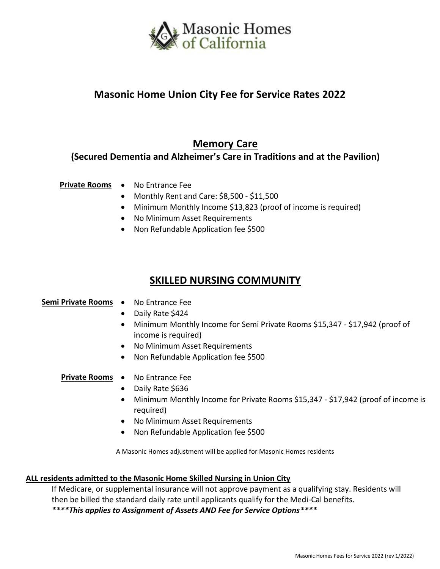

# **Masonic Home Union City Fee for Service Rates 2022**

## **Memory Care**

## **(Secured Dementia and Alzheimer's Care in Traditions and at the Pavilion)**

### **Private Rooms** • No Entrance Fee

- Monthly Rent and Care: \$8,500 \$11,500
- Minimum Monthly Income \$13,823 (proof of income is required)
- No Minimum Asset Requirements
- Non Refundable Application fee \$500

## **SKILLED NURSING COMMUNITY**

### **Semi Private Rooms** • No Entrance Fee

- Daily Rate \$424
- Minimum Monthly Income for Semi Private Rooms \$15,347 \$17,942 (proof of income is required)
- No Minimum Asset Requirements
- Non Refundable Application fee \$500

### **Private Rooms** • No Entrance Fee

- Daily Rate \$636
- Minimum Monthly Income for Private Rooms \$15,347 \$17,942 (proof of income is required)
- No Minimum Asset Requirements
- Non Refundable Application fee \$500

A Masonic Homes adjustment will be applied for Masonic Homes residents

### **ALL residents admitted to the Masonic Home Skilled Nursing in Union City**

If Medicare, or supplemental insurance will not approve payment as a qualifying stay. Residents will then be billed the standard daily rate until applicants qualify for the Medi-Cal benefits. *\*\*\*\*This applies to Assignment of Assets AND Fee for Service Options\*\*\*\**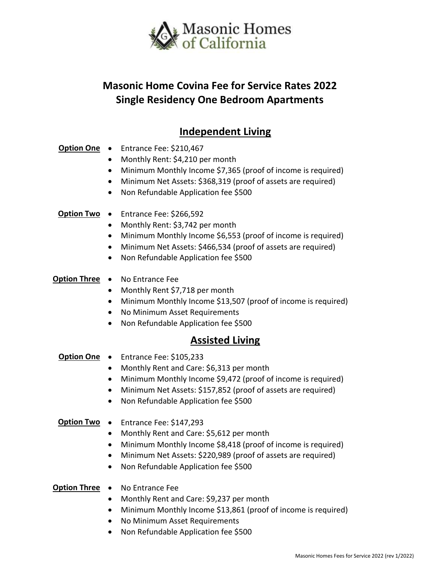

# **Masonic Home Covina Fee for Service Rates 2022 Single Residency One Bedroom Apartments**

# **Independent Living**

## **Option One** • Entrance Fee: \$210,467

- Monthly Rent: \$4,210 per month
- Minimum Monthly Income \$7,365 (proof of income is required)
- Minimum Net Assets: \$368,319 (proof of assets are required)
- Non Refundable Application fee \$500
- **Option Two** Entrance Fee: \$266,592
	- Monthly Rent: \$3,742 per month
	- Minimum Monthly Income \$6,553 (proof of income is required)
	- Minimum Net Assets: \$466,534 (proof of assets are required)
	- Non Refundable Application fee \$500

### **Option Three** • No Entrance Fee

- Monthly Rent \$7,718 per month
- Minimum Monthly Income \$13,507 (proof of income is required)
- No Minimum Asset Requirements
- Non Refundable Application fee \$500

## **Assisted Living**

- **Option One**  Entrance Fee: \$105,233
	- Monthly Rent and Care: \$6,313 per month
	- Minimum Monthly Income \$9,472 (proof of income is required)
	- Minimum Net Assets: \$157,852 (proof of assets are required)
	- Non Refundable Application fee \$500

### **Option Two** • Entrance Fee: \$147,293

- Monthly Rent and Care: \$5,612 per month
- Minimum Monthly Income \$8,418 (proof of income is required)
- Minimum Net Assets: \$220,989 (proof of assets are required)
- Non Refundable Application fee \$500

### **Option Three** • No Entrance Fee

- Monthly Rent and Care: \$9,237 per month
- Minimum Monthly Income \$13,861 (proof of income is required)
- No Minimum Asset Requirements
- Non Refundable Application fee \$500